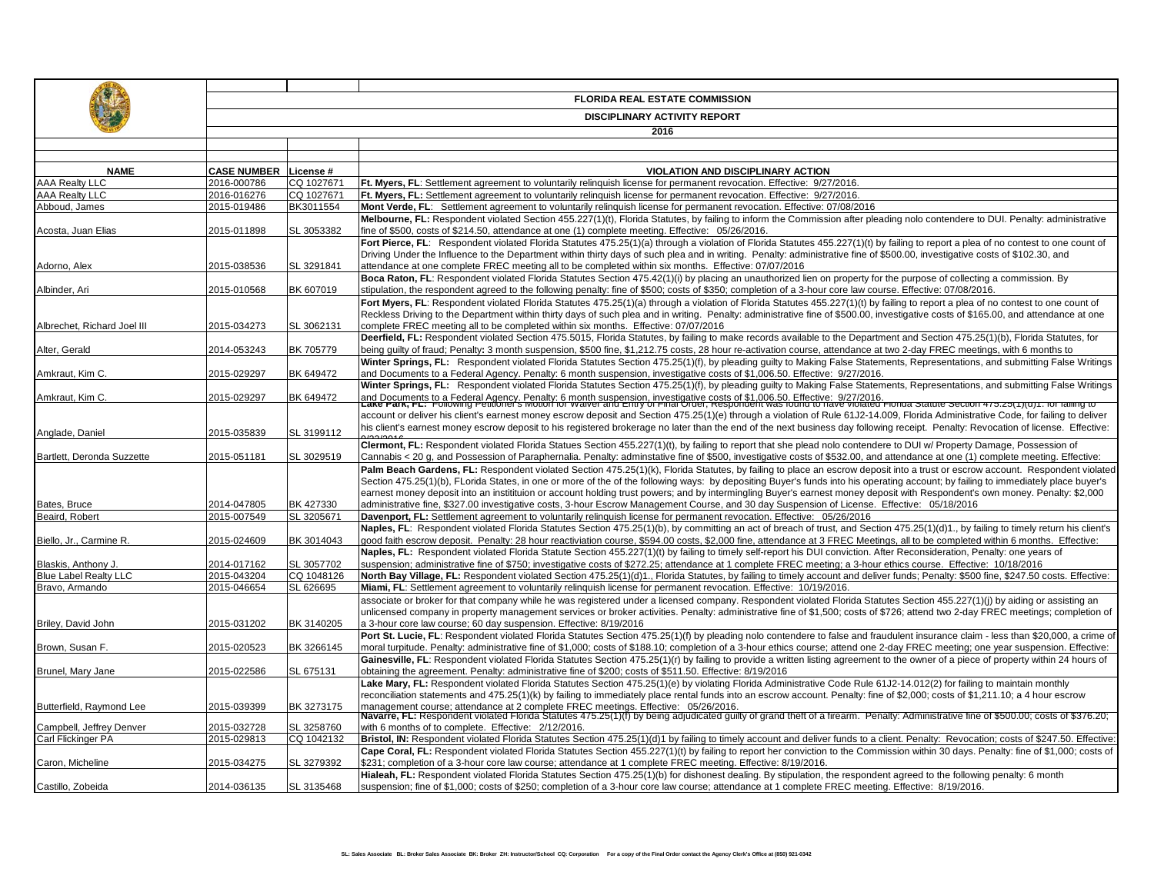|                                                |                                   | <b>FLORIDA REAL ESTATE COMMISSION</b> |                                                                                                                                                                                                                                                                                                                                                                    |  |  |  |  |
|------------------------------------------------|-----------------------------------|---------------------------------------|--------------------------------------------------------------------------------------------------------------------------------------------------------------------------------------------------------------------------------------------------------------------------------------------------------------------------------------------------------------------|--|--|--|--|
|                                                |                                   | <b>DISCIPLINARY ACTIVITY REPORT</b>   |                                                                                                                                                                                                                                                                                                                                                                    |  |  |  |  |
|                                                |                                   |                                       | 2016                                                                                                                                                                                                                                                                                                                                                               |  |  |  |  |
|                                                |                                   |                                       |                                                                                                                                                                                                                                                                                                                                                                    |  |  |  |  |
|                                                |                                   |                                       |                                                                                                                                                                                                                                                                                                                                                                    |  |  |  |  |
| <b>NAME</b>                                    | <b>CASE NUMBER</b><br>2016-000786 | License #<br>CQ 1027671               | <b>VIOLATION AND DISCIPLINARY ACTION</b><br>Ft. Myers, FL: Settlement agreement to voluntarily relinguish license for permanent revocation. Effective: 9/27/2016.                                                                                                                                                                                                  |  |  |  |  |
| <b>AAA Realty LLC</b><br><b>AAA Realty LLC</b> | 2016-016276                       | CQ 1027671                            | Ft. Myers, FL: Settlement agreement to voluntarily relinguish license for permanent revocation. Effective: 9/27/2016.                                                                                                                                                                                                                                              |  |  |  |  |
| Abboud, James                                  | 2015-019486                       | BK3011554                             | Mont Verde, FL: Settlement agreement to voluntarily relinguish license for permanent revocation. Effective: 07/08/2016                                                                                                                                                                                                                                             |  |  |  |  |
|                                                |                                   |                                       | Melbourne, FL: Respondent violated Section 455.227(1)(t), Florida Statutes, by failing to inform the Commission after pleading nolo contendere to DUI. Penalty: administrative                                                                                                                                                                                     |  |  |  |  |
| Acosta, Juan Elias                             | 2015-011898                       | SL 3053382                            | fine of \$500, costs of \$214.50, attendance at one (1) complete meeting. Effective: 05/26/2016.                                                                                                                                                                                                                                                                   |  |  |  |  |
|                                                |                                   |                                       | Fort Pierce, FL: Respondent violated Florida Statutes 475.25(1)(a) through a violation of Florida Statutes 455.227(1)(t) by failing to report a plea of no contest to one count of                                                                                                                                                                                 |  |  |  |  |
|                                                |                                   |                                       | Driving Under the Influence to the Department within thirty days of such plea and in writing. Penalty: administrative fine of \$500.00, investigative costs of \$102.30, and                                                                                                                                                                                       |  |  |  |  |
| Adorno, Alex                                   | 2015-038536                       | SL 3291841                            | attendance at one complete FREC meeting all to be completed within six months. Effective: 07/07/2016                                                                                                                                                                                                                                                               |  |  |  |  |
|                                                |                                   |                                       | Boca Raton, FL: Respondent violated Florida Statutes Section 475.42(1)(i) by placing an unauthorized lien on property for the purpose of collecting a commission. By                                                                                                                                                                                               |  |  |  |  |
| Albinder, Ari                                  | 2015-010568                       | BK 607019                             | stipulation, the respondent agreed to the following penalty: fine of \$500; costs of \$350; completion of a 3-hour core law course. Effective: 07/08/2016.<br>Fort Myers, FL: Respondent violated Florida Statutes 475.25(1)(a) through a violation of Florida Statutes 455.227(1)(t) by failing to report a plea of no contest to one count of                    |  |  |  |  |
|                                                |                                   |                                       | Reckless Driving to the Department within thirty days of such plea and in writing. Penalty: administrative fine of \$500.00, investigative costs of \$165.00, and attendance at one                                                                                                                                                                                |  |  |  |  |
| Albrechet, Richard Joel III                    | 2015-034273                       | SL 3062131                            | complete FREC meeting all to be completed within six months. Effective: 07/07/2016                                                                                                                                                                                                                                                                                 |  |  |  |  |
|                                                |                                   |                                       | Deerfield, FL: Respondent violated Section 475.5015, Florida Statutes, by failing to make records available to the Department and Section 475.25(1)(b), Florida Statutes, for                                                                                                                                                                                      |  |  |  |  |
| Alter, Gerald                                  | 2014-053243                       | BK 705779                             | being quilty of fraud; Penalty: 3 month suspension, \$500 fine, \$1,212.75 costs, 28 hour re-activation course, attendance at two 2-day FREC meetings, with 6 months to                                                                                                                                                                                            |  |  |  |  |
|                                                |                                   |                                       | Winter Springs, FL: Respondent violated Florida Statutes Section 475.25(1)(f), by pleading quilty to Making False Statements, Representations, and submitting False Writings                                                                                                                                                                                       |  |  |  |  |
| Amkraut, Kim C.                                | 2015-029297                       | BK 649472                             | and Documents to a Federal Agency. Penalty: 6 month suspension, investigative costs of \$1,006.50. Effective: 9/27/2016.                                                                                                                                                                                                                                           |  |  |  |  |
|                                                |                                   |                                       | Winter Springs, FL: Respondent violated Florida Statutes Section 475.25(1)(f), by pleading quilty to Making False Statements, Representations, and submitting False Writings                                                                                                                                                                                       |  |  |  |  |
| Amkraut, Kim C.                                | 2015-029297                       | BK 649472                             | and Documents to a Federal Agency. Penalty: 6 month suspension, investigative costs of \$1,006.50. Effective: 9/27/2016.<br>Lake Fark, FL: Fυιιυwing Feutloner's widtion to vvalver and Entry of Final Urder, Respondent was foun                                                                                                                                  |  |  |  |  |
|                                                |                                   |                                       | account or deliver his client's earnest money escrow deposit and Section 475.25(1)(e) through a violation of Rule 61J2-14.009, Florida Administrative Code, for failing to deliver                                                                                                                                                                                 |  |  |  |  |
| Anglade, Daniel                                | 2015-035839                       | SL 3199112                            | his client's earnest money escrow deposit to his registered brokerage no later than the end of the next business day following receipt. Penalty: Revocation of license. Effective:                                                                                                                                                                                 |  |  |  |  |
|                                                |                                   |                                       | Clermont, FL: Respondent violated Florida Statues Section 455.227(1)(t), by failing to report that she plead nolo contendere to DUI w/ Property Damage, Possession of                                                                                                                                                                                              |  |  |  |  |
| Bartlett, Deronda Suzzette                     | 2015-051181                       | SL 3029519                            | Cannabis < 20 g, and Possession of Paraphernalia. Penalty: adminstative fine of \$500, investigative costs of \$532.00, and attendance at one (1) complete meeting. Effective:                                                                                                                                                                                     |  |  |  |  |
|                                                |                                   |                                       | Palm Beach Gardens, FL: Respondent violated Section 475.25(1)(k), Florida Statutes, by failing to place an escrow deposit into a trust or escrow account. Respondent violated                                                                                                                                                                                      |  |  |  |  |
|                                                |                                   |                                       | Section 475.25(1)(b), FLorida States, in one or more of the of the following ways: by depositing Buyer's funds into his operating account; by failing to immediately place buyer's<br>earnest money deposit into an institituion or account holding trust powers; and by intermingling Buyer's earnest money deposit with Respondent's own money. Penalty: \$2,000 |  |  |  |  |
| Bates, Bruce                                   | 2014-047805                       | BK 427330                             | administrative fine, \$327.00 investigative costs, 3-hour Escrow Management Course, and 30 day Suspension of License. Effective: 05/18/2016                                                                                                                                                                                                                        |  |  |  |  |
| Beaird, Robert                                 | 2015-007549                       | SL 3205671                            | Davenport, FL: Settlement agreement to voluntarily relinquish license for permanent revocation. Effective: 05/26/2016                                                                                                                                                                                                                                              |  |  |  |  |
|                                                |                                   |                                       | Naples, FL: Respondent violated Florida Statutes Section 475.25(1)(b), by committing an act of breach of trust, and Section 475.25(1)(d)1., by failing to timely return his client's                                                                                                                                                                               |  |  |  |  |
| Biello, Jr., Carmine R                         | 2015-024609                       | BK 3014043                            | good faith escrow deposit. Penalty: 28 hour reactiviation course, \$594.00 costs, \$2,000 fine, attendance at 3 FREC Meetings, all to be completed within 6 months. Effective:                                                                                                                                                                                     |  |  |  |  |
|                                                |                                   |                                       | Naples, FL: Respondent violated Florida Statute Section 455.227(1)(t) by failing to timely self-report his DUI conviction. After Reconsideration, Penalty: one years of                                                                                                                                                                                            |  |  |  |  |
| Blaskis, Anthony J.                            | 2014-017162                       | SL 3057702                            | suspension; administrative fine of \$750; investigative costs of \$272.25; attendance at 1 complete FREC meeting; a 3-hour ethics course. Effective: 10/18/2016                                                                                                                                                                                                    |  |  |  |  |
| <b>Blue Label Realty LLC</b>                   | 2015-043204                       | CQ 1048126                            | North Bay Village, FL: Respondent violated Section 475.25(1)(d)1., Florida Statutes, by failing to timely account and deliver funds; Penalty: \$500 fine, \$247.50 costs. Effective:                                                                                                                                                                               |  |  |  |  |
| Bravo, Armando                                 | 2015-046654                       | SL 626695                             | Miami, FL: Settlement agreement to voluntarily relinquish license for permanent revocation. Effective: 10/19/2016.<br>associate or broker for that company while he was registered under a licensed company. Respondent violated Florida Statutes Section 455.227(1)(j) by aiding or assisting an                                                                  |  |  |  |  |
|                                                |                                   |                                       | unlicensed company in property management services or broker activities. Penalty: administrative fine of \$1,500; costs of \$726; attend two 2-day FREC meetings; completion of                                                                                                                                                                                    |  |  |  |  |
| Briley, David John                             | 2015-031202                       | BK 3140205                            | a 3-hour core law course; 60 day suspension. Effective: 8/19/2016                                                                                                                                                                                                                                                                                                  |  |  |  |  |
|                                                |                                   |                                       | Port St. Lucie, FL: Respondent violated Florida Statutes Section 475.25(1)(f) by pleading nolo contendere to false and fraudulent insurance claim - less than \$20,000, a crime of                                                                                                                                                                                 |  |  |  |  |
| Brown, Susan F.                                | 2015-020523                       | BK 3266145                            | moral turpitude. Penalty: administrative fine of \$1,000; costs of \$188.10; completion of a 3-hour ethics course; attend one 2-day FREC meeting; one year suspension. Effective:                                                                                                                                                                                  |  |  |  |  |
|                                                |                                   |                                       | Gainesville, FL: Respondent violated Florida Statutes Section 475.25(1)(r) by failing to provide a written listing agreement to the owner of a piece of property within 24 hours of                                                                                                                                                                                |  |  |  |  |
| Brunel, Mary Jane                              | 2015-022586                       | SL 675131                             | obtaining the agreement. Penalty: administrative fine of \$200; costs of \$511.50. Effective: 8/19/2016                                                                                                                                                                                                                                                            |  |  |  |  |
|                                                |                                   |                                       | Lake Mary, FL: Respondent violated Florida Statutes Section 475.25(1)(e) by violating Florida Administrative Code Rule 61J2-14.012(2) for failing to maintain monthly                                                                                                                                                                                              |  |  |  |  |
| Butterfield, Raymond Lee                       | 2015-039399                       | BK 3273175                            | reconciliation statements and 475.25(1)(k) by failing to immediately place rental funds into an escrow account. Penalty: fine of \$2,000; costs of \$1,211.10; a 4 hour escrow                                                                                                                                                                                     |  |  |  |  |
|                                                |                                   |                                       | management course; attendance at 2 complete FREC meetings. Effective: 05/26/2016.<br>Navarre, FL: Respondent violated Florida Statutes 475.25(1)(f) by being adjudicated guilty of grand thett of a firearm. Penalty: Administrat                                                                                                                                  |  |  |  |  |
| Campbell, Jeffrey Denver                       | 2015-032728                       | SL 3258760                            | with 6 months of to complete. Effective: 2/12/2016.                                                                                                                                                                                                                                                                                                                |  |  |  |  |
| Carl Flickinger PA                             | 2015-029813                       | CQ 1042132                            | Bristol, IN: Respondent violated Florida Statutes Section 475.25(1)(d)1 by failing to timely account and deliver funds to a client. Penalty: Revocation; costs of \$247.50. Effective:                                                                                                                                                                             |  |  |  |  |
|                                                |                                   |                                       | Cape Coral, FL: Respondent violated Florida Statutes Section 455.227(1)(t) by failing to report her conviction to the Commission within 30 days. Penalty: fine of \$1,000; costs of                                                                                                                                                                                |  |  |  |  |
| Caron, Micheline                               | 2015-034275                       | SL 3279392                            | \$231; completion of a 3-hour core law course; attendance at 1 complete FREC meeting. Effective: 8/19/2016.<br>Hialeah, FL: Respondent violated Florida Statutes Section 475.25(1)(b) for dishonest dealing. By stipulation, the respondent agreed to the following penalty: 6 month                                                                               |  |  |  |  |
| Castillo. Zobeida                              | 2014-036135                       | SL 3135468                            | suspension; fine of \$1,000; costs of \$250; completion of a 3-hour core law course; attendance at 1 complete FREC meeting. Effective: 8/19/2016.                                                                                                                                                                                                                  |  |  |  |  |
|                                                |                                   |                                       |                                                                                                                                                                                                                                                                                                                                                                    |  |  |  |  |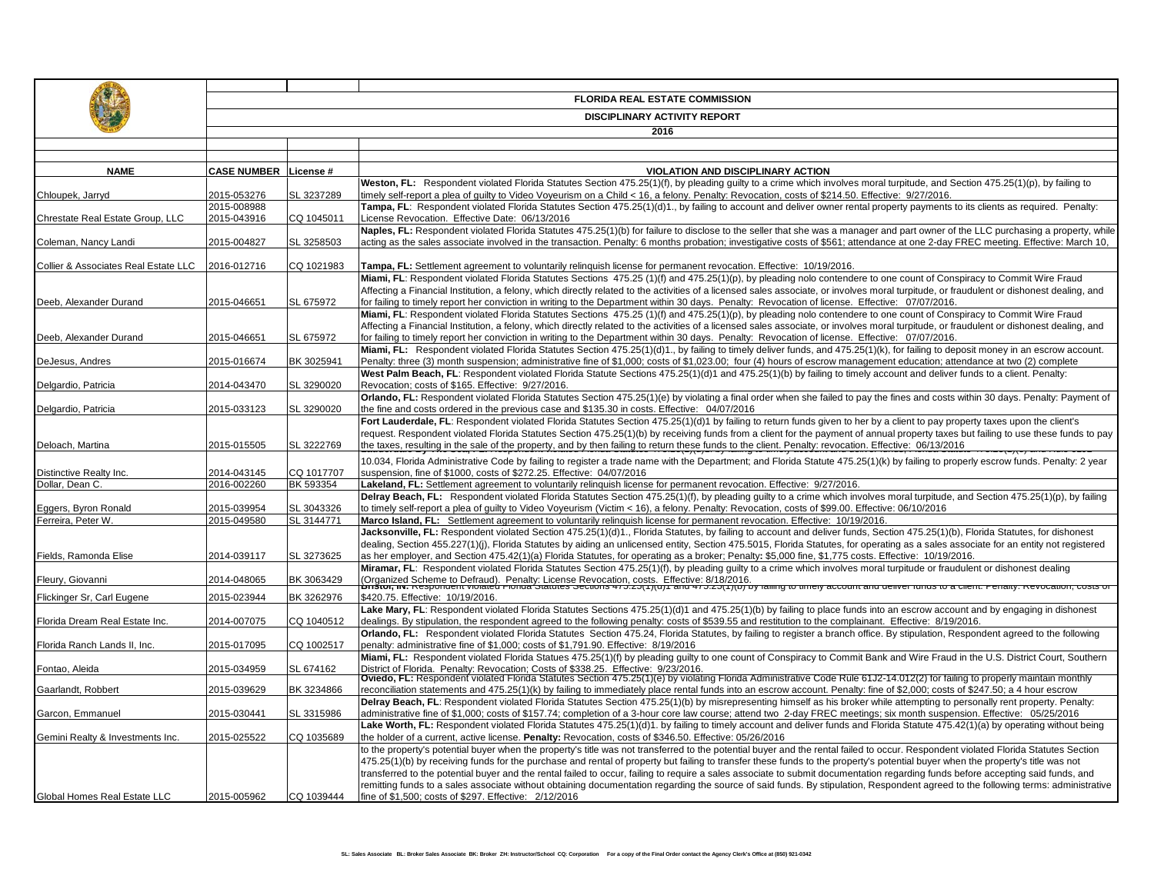|                                      | <b>FLORIDA REAL ESTATE COMMISSION</b> |            |                                                                                                                                                                                                                                                                                                                                                                                                                                                                                                                            |  |  |
|--------------------------------------|---------------------------------------|------------|----------------------------------------------------------------------------------------------------------------------------------------------------------------------------------------------------------------------------------------------------------------------------------------------------------------------------------------------------------------------------------------------------------------------------------------------------------------------------------------------------------------------------|--|--|
|                                      | <b>DISCIPLINARY ACTIVITY REPORT</b>   |            |                                                                                                                                                                                                                                                                                                                                                                                                                                                                                                                            |  |  |
|                                      | 2016                                  |            |                                                                                                                                                                                                                                                                                                                                                                                                                                                                                                                            |  |  |
|                                      |                                       |            |                                                                                                                                                                                                                                                                                                                                                                                                                                                                                                                            |  |  |
|                                      |                                       |            |                                                                                                                                                                                                                                                                                                                                                                                                                                                                                                                            |  |  |
| <b>NAME</b>                          | <b>CASE NUMBER</b>                    | License #  | <b>VIOLATION AND DISCIPLINARY ACTION</b><br>Weston, FL: Respondent violated Florida Statutes Section 475.25(1)(f), by pleading quilty to a crime which involves moral turpitude, and Section 475.25(1)(p), by failing to                                                                                                                                                                                                                                                                                                   |  |  |
| Chloupek, Jarryd                     | 2015-053276                           | SL 3237289 | timely self-report a plea of guilty to Video Voyeurism on a Child < 16, a felony. Penalty: Revocation, costs of \$214.50. Effective: 9/27/2016.                                                                                                                                                                                                                                                                                                                                                                            |  |  |
| Chrestate Real Estate Group, LLC     | 2015-008988<br>2015-043916            | CQ 1045011 | Tampa, FL: Respondent violated Florida Statutes Section 475.25(1)(d)1., by failing to account and deliver owner rental property payments to its clients as required. Penalty:<br>License Revocation. Effective Date: 06/13/2016                                                                                                                                                                                                                                                                                            |  |  |
| Coleman, Nancy Landi                 | 2015-004827                           | SL 3258503 | Naples, FL: Respondent violated Florida Statutes 475.25(1)(b) for failure to disclose to the seller that she was a manager and part owner of the LLC purchasing a property, while<br>acting as the sales associate involved in the transaction. Penalty: 6 months probation; investigative costs of \$561; attendance at one 2-day FREC meeting. Effective: March 10,                                                                                                                                                      |  |  |
|                                      |                                       |            |                                                                                                                                                                                                                                                                                                                                                                                                                                                                                                                            |  |  |
| Collier & Associates Real Estate LLC | 2016-012716                           | CQ 1021983 | Tampa, FL: Settlement agreement to voluntarily relinguish license for permanent revocation. Effective: 10/19/2016.                                                                                                                                                                                                                                                                                                                                                                                                         |  |  |
| Deeb, Alexander Durand               | 2015-046651                           | SL 675972  | Miami, FL: Respondent violated Florida Statutes Sections 475.25 (1)(f) and 475.25(1)(p), by pleading nolo contendere to one count of Conspiracy to Commit Wire Fraud<br>Affecting a Financial Institution, a felony, which directly related to the activities of a licensed sales associate, or involves moral turpitude, or fraudulent or dishonest dealing, and<br>for failing to timely report her conviction in writing to the Department within 30 days. Penalty: Revocation of license. Effective: 07/07/2016.       |  |  |
| Deeb, Alexander Durand               | 2015-046651                           | SL 675972  | Miami, FL: Respondent violated Florida Statutes Sections 475.25 (1)(f) and 475.25(1)(p), by pleading nolo contendere to one count of Conspiracy to Commit Wire Fraud<br>Affecting a Financial Institution, a felony, which directly related to the activities of a licensed sales associate, or involves moral turpitude, or fraudulent or dishonest dealing, and<br>for failing to timely report her conviction in writing to the Department within 30 days. Penalty: Revocation of license. Effective: 07/07/2016.       |  |  |
|                                      |                                       |            | Miami, FL: Respondent violated Florida Statutes Section 475.25(1)(d)1., by failing to timely deliver funds, and 475.25(1)(k), for failing to deposit money in an escrow account.                                                                                                                                                                                                                                                                                                                                           |  |  |
| DeJesus, Andres                      | 2015-016674                           | BK 3025941 | Penalty: three (3) month suspension; administrative fine of \$1,000; costs of \$1,023.00; four (4) hours of escrow management education; attendance at two (2) complete                                                                                                                                                                                                                                                                                                                                                    |  |  |
| Delgardio, Patricia                  | 2014-043470                           | SL 3290020 | West Palm Beach, FL: Respondent violated Florida Statute Sections 475.25(1)(d)1 and 475.25(1)(b) by failing to timely account and deliver funds to a client. Penalty:<br>Revocation; costs of \$165. Effective: 9/27/2016.                                                                                                                                                                                                                                                                                                 |  |  |
|                                      |                                       |            | Orlando, FL: Respondent violated Florida Statutes Section 475.25(1)(e) by violating a final order when she failed to pay the fines and costs within 30 days. Penalty: Payment of                                                                                                                                                                                                                                                                                                                                           |  |  |
| Delgardio, Patricia                  | 2015-033123                           | SL 3290020 | the fine and costs ordered in the previous case and \$135.30 in costs. Effective: 04/07/2016                                                                                                                                                                                                                                                                                                                                                                                                                               |  |  |
| Deloach, Martina                     | 2015-015505                           | SL 3222769 | Fort Lauderdale, FL: Respondent violated Florida Statutes Section 475.25(1)(d)1 by failing to return funds given to her by a client to pay property taxes upon the client's<br>request. Respondent violated Florida Statutes Section 475.25(1)(b) by receiving funds from a client for the payment of annual property taxes but failing to use these funds to pay<br>the taxes, resulting in the sale of the property, and by then failing to return these funds to the client. Penalty: revocation. Effective: 06/13/2016 |  |  |
| Distinctive Realty Inc.              | 2014-043145                           | CQ 1017707 | 10.034, Florida Administrative Code by failing to register a trade name with the Department; and Florida Statute 475.25(1)(k) by failing to properly escrow funds. Penalty: 2 year<br>suspension, fine of \$1000, costs of \$272.25. Effective: 04/07/2016                                                                                                                                                                                                                                                                 |  |  |
| Dollar, Dean C.                      | 2016-002260                           | BK 593354  | Lakeland, FL: Settlement agreement to voluntarily relinguish license for permanent revocation. Effective: 9/27/2016.                                                                                                                                                                                                                                                                                                                                                                                                       |  |  |
| Eggers, Byron Ronald                 | 2015-039954                           | SL 3043326 | Delray Beach, FL: Respondent violated Florida Statutes Section 475.25(1)(f), by pleading quilty to a crime which involves moral turpitude, and Section 475.25(1)(p), by failing<br>to timely self-report a plea of quilty to Video Voyeurism (Victim < 16), a felony. Penalty: Revocation, costs of \$99.00. Effective: 06/10/2016                                                                                                                                                                                         |  |  |
| Ferreira, Peter W.                   | 2015-049580                           | SL 3144771 | Marco Island, FL: Settlement agreement to voluntarily relinquish license for permanent revocation. Effective: 10/19/2016.                                                                                                                                                                                                                                                                                                                                                                                                  |  |  |
|                                      |                                       |            | Jacksonville, FL: Respondent violated Section 475.25(1)(d)1., Florida Statutes, by failing to account and deliver funds, Section 475.25(1)(b), Florida Statutes, for dishonest                                                                                                                                                                                                                                                                                                                                             |  |  |
|                                      |                                       |            | dealing, Section 455.227(1)(j), Florida Statutes by aiding an unlicensed entity, Section 475.5015, Florida Statutes, for operating as a sales associate for an entity not registered                                                                                                                                                                                                                                                                                                                                       |  |  |
| Fields, Ramonda Elise                | 2014-039117                           | SL 3273625 | as her employer, and Section 475.42(1)(a) Florida Statutes, for operating as a broker; Penalty: \$5,000 fine, \$1,775 costs. Effective: 10/19/2016.<br>Miramar, FL: Respondent violated Florida Statutes Section 475.25(1)(f), by pleading guilty to a crime which involves moral turpitude or fraudulent or dishonest dealing                                                                                                                                                                                             |  |  |
| Fleury, Giovanni                     | 2014-048065                           | BK 3063429 | .<br>(Organized Scheme to Defraud). Penalty: License Revocation, costs. Effective: 8/18/2016.<br>ביולדו היה היה השפטחוספות משפט היהודים להתמופט שפטחוס את הביעון ולא היהודים היהודים של היהודים של היהודים מכנס                                                                                                                                                                                                                                                                                                            |  |  |
| Flickinger Sr, Carl Eugene           | 2015-023944                           | BK 3262976 | \$420.75. Effective: 10/19/2016.                                                                                                                                                                                                                                                                                                                                                                                                                                                                                           |  |  |
| Florida Dream Real Estate Inc.       | 2014-007075                           | CQ 1040512 | Lake Mary, FL: Respondent violated Florida Statutes Sections 475.25(1)(d)1 and 475.25(1)(b) by failing to place funds into an escrow account and by engaging in dishonest<br>dealings. By stipulation, the respondent agreed to the following penalty: costs of \$539.55 and restitution to the complainant. Effective: 8/19/2016.                                                                                                                                                                                         |  |  |
|                                      |                                       |            | Orlando, FL: Respondent violated Florida Statutes Section 475.24, Florida Statutes, by failing to register a branch office. By stipulation, Respondent agreed to the following                                                                                                                                                                                                                                                                                                                                             |  |  |
| Florida Ranch Lands II, Inc.         | 2015-017095                           | CQ 1002517 | penalty: administrative fine of \$1,000; costs of \$1,791.90. Effective: 8/19/2016                                                                                                                                                                                                                                                                                                                                                                                                                                         |  |  |
| Fontao, Aleida                       | 2015-034959                           | SL 674162  | Miami, FL: Respondent violated Florida Statues 475.25(1)(f) by pleading quilty to one count of Conspiracy to Commit Bank and Wire Fraud in the U.S. District Court, Southern<br>District of Florida. Penalty: Revocation; Costs of \$338.25. Effective: 9/23/2016.                                                                                                                                                                                                                                                         |  |  |
| Gaarlandt, Robbert                   | 2015-039629                           | BK 3234866 | Oviedo, FL: Respondent violated Florida Statutes Section 475.25(1)(e) by violating Florida Administrative Code Rule 61J2-14.012(2) for failing to properly maintain monthly<br>reconciliation statements and 475.25(1)(k) by failing to immediately place rental funds into an escrow account. Penalty: fine of \$2,000; costs of \$247.50; a 4 hour escrow                                                                                                                                                                |  |  |
| Garcon, Emmanuel                     | 2015-030441                           | SL 3315986 | Delray Beach, FL: Respondent violated Florida Statutes Section 475.25(1)(b) by misrepresenting himself as his broker while attempting to personally rent property. Penalty:<br>administrative fine of \$1,000; costs of \$157.74; completion of a 3-hour core law course; attend two 2-day FREC meetings; six month suspension. Effective: 05/25/2016                                                                                                                                                                      |  |  |
|                                      |                                       |            | Lake Worth, FL: Respondent violated Florida Statutes 475.25(1)(d)1. by failing to timely account and deliver funds and Florida Statute 475.42(1)(a) by operating without being                                                                                                                                                                                                                                                                                                                                             |  |  |
| Gemini Realty & Investments Inc.     | 2015-025522                           | CQ 1035689 | the holder of a current, active license. Penalty: Revocation, costs of \$346.50. Effective: 05/26/2016                                                                                                                                                                                                                                                                                                                                                                                                                     |  |  |
|                                      |                                       |            | to the property's potential buyer when the property's title was not transferred to the potential buyer and the rental failed to occur. Respondent violated Florida Statutes Section                                                                                                                                                                                                                                                                                                                                        |  |  |
|                                      |                                       |            | 475.25(1)(b) by receiving funds for the purchase and rental of property but failing to transfer these funds to the property's potential buyer when the property's title was not<br>transferred to the potential buyer and the rental failed to occur, failing to require a sales associate to submit documentation regarding funds before accepting said funds, and                                                                                                                                                        |  |  |
|                                      |                                       |            | remitting funds to a sales associate without obtaining documentation regarding the source of said funds. By stipulation, Respondent agreed to the following terms: administrative                                                                                                                                                                                                                                                                                                                                          |  |  |
| Global Homes Real Estate LLC         | 2015-005962                           | CQ 1039444 | fine of \$1,500; costs of \$297. Effective: 2/12/2016                                                                                                                                                                                                                                                                                                                                                                                                                                                                      |  |  |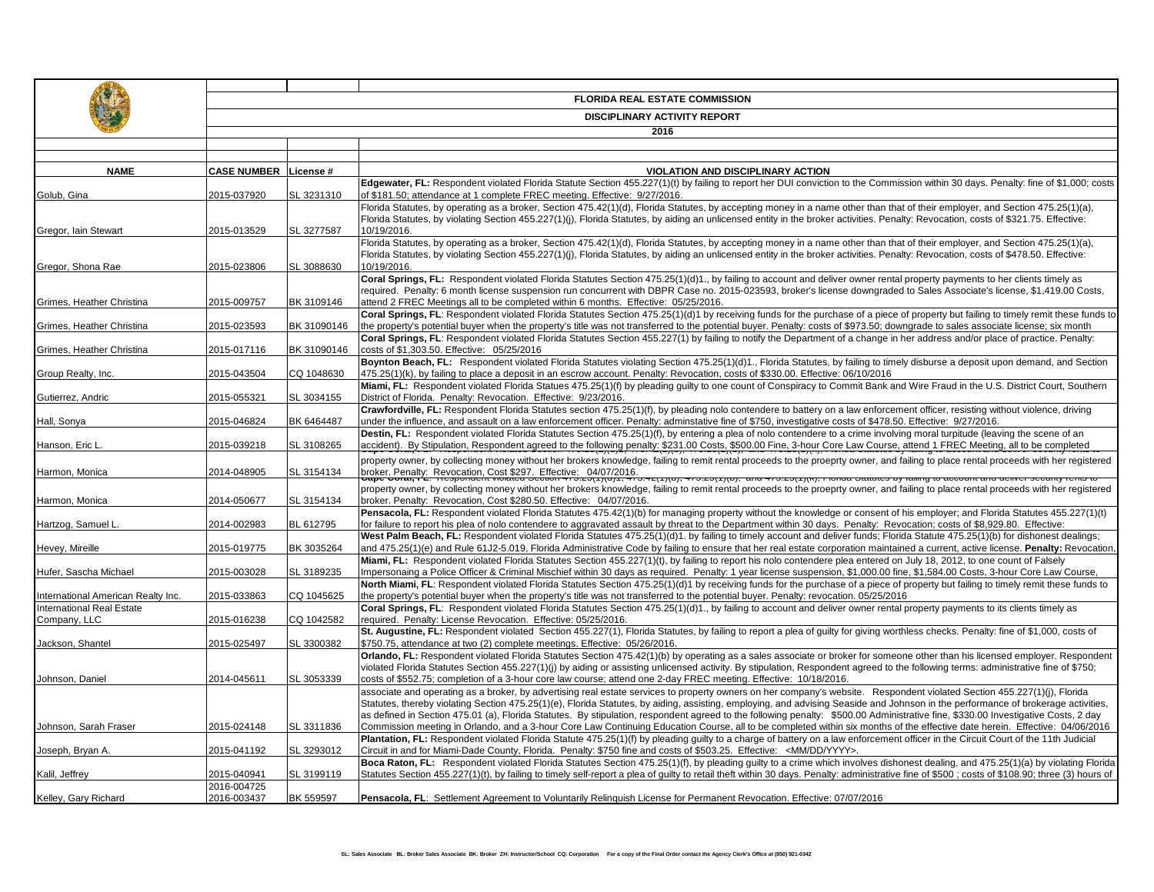|                                                        | <b>FLORIDA REAL ESTATE COMMISSION</b>       |                            |                                                                                                                                                                                                                                                                                                                                                                                                                                                                                                                                                    |  |  |
|--------------------------------------------------------|---------------------------------------------|----------------------------|----------------------------------------------------------------------------------------------------------------------------------------------------------------------------------------------------------------------------------------------------------------------------------------------------------------------------------------------------------------------------------------------------------------------------------------------------------------------------------------------------------------------------------------------------|--|--|
|                                                        | <b>DISCIPLINARY ACTIVITY REPORT</b><br>2016 |                            |                                                                                                                                                                                                                                                                                                                                                                                                                                                                                                                                                    |  |  |
|                                                        |                                             |                            |                                                                                                                                                                                                                                                                                                                                                                                                                                                                                                                                                    |  |  |
|                                                        |                                             |                            |                                                                                                                                                                                                                                                                                                                                                                                                                                                                                                                                                    |  |  |
| <b>NAME</b>                                            | <b>CASE NUMBER</b>                          | License #                  | <b>VIOLATION AND DISCIPLINARY ACTION</b>                                                                                                                                                                                                                                                                                                                                                                                                                                                                                                           |  |  |
| Golub, Gina                                            | 2015-037920                                 | SL 3231310                 | Edgewater, FL: Respondent violated Florida Statute Section 455.227(1)(t) by failing to report her DUI conviction to the Commission within 30 days. Penalty: fine of \$1,000; costs<br>of \$181.50; attendance at 1 complete FREC meeting. Effective: 9/27/2016.                                                                                                                                                                                                                                                                                    |  |  |
| Gregor, Iain Stewart                                   | 2015-013529                                 | SL 3277587                 | Florida Statutes, by operating as a broker, Section 475.42(1)(d), Florida Statutes, by accepting money in a name other than that of their employer, and Section 475.25(1)(a),<br>Florida Statutes, by violating Section 455.227(1)(i), Florida Statutes, by aiding an unlicensed entity in the broker activities. Penalty: Revocation, costs of \$321.75. Effective:<br>10/19/2016.                                                                                                                                                                |  |  |
| Gregor, Shona Rae                                      | 2015-023806                                 | SL 3088630                 | Florida Statutes, by operating as a broker, Section 475.42(1)(d), Florida Statutes, by accepting money in a name other than that of their employer, and Section 475.25(1)(a),<br>Florida Statutes, by violating Section 455.227(1)(j), Florida Statutes, by aiding an unlicensed entity in the broker activities. Penalty: Revocation, costs of \$478.50. Effective:<br>10/19/2016.                                                                                                                                                                |  |  |
| Grimes, Heather Christina                              | 2015-009757                                 | BK 3109146                 | Coral Springs, FL: Respondent violated Florida Statutes Section 475.25(1)(d)1., by failing to account and deliver owner rental property payments to her clients timely as<br>required. Penalty: 6 month license suspension run concurrent with DBPR Case no. 2015-023593, broker's license downgraded to Sales Associate's license, \$1,419.00 Costs,<br>attend 2 FREC Meetings all to be completed within 6 months. Effective: 05/25/2016.                                                                                                        |  |  |
|                                                        |                                             |                            | Coral Springs, FL: Respondent violated Florida Statutes Section 475.25(1)(d)1 by receiving funds for the purchase of a piece of property but failing to timely remit these funds to                                                                                                                                                                                                                                                                                                                                                                |  |  |
| Grimes, Heather Christina<br>Grimes, Heather Christina | 2015-023593<br>2015-017116                  | BK 31090146<br>BK 31090146 | the property's potential buyer when the property's title was not transferred to the potential buyer. Penalty: costs of \$973.50; downgrade to sales associate license; six month<br>Coral Springs, FL: Respondent violated Florida Statutes Section 455.227(1) by failing to notify the Department of a change in her address and/or place of practice. Penalty:<br>costs of \$1,303.50. Effective: 05/25/2016                                                                                                                                     |  |  |
| Group Realty, Inc.                                     | 2015-043504                                 | CQ 1048630                 | Boynton Beach, FL: Respondent violated Florida Statutes violating Section 475.25(1)(d)1., Florida Statutes, by failing to timely disburse a deposit upon demand, and Section<br>475.25(1)(k), by failing to place a deposit in an escrow account. Penalty: Revocation, costs of \$330.00. Effective: 06/10/2016                                                                                                                                                                                                                                    |  |  |
| Gutierrez, Andric                                      | 2015-055321                                 | SL 3034155                 | Miami, FL: Respondent violated Florida Statues 475.25(1)(f) by pleading quilty to one count of Conspiracy to Commit Bank and Wire Fraud in the U.S. District Court, Southern<br>District of Florida. Penalty: Revocation. Effective: 9/23/2016.                                                                                                                                                                                                                                                                                                    |  |  |
| Hall, Sonya                                            | 2015-046824                                 | BK 6464487                 | Crawfordville, FL: Respondent Florida Statutes section 475.25(1)(f), by pleading nolo contendere to battery on a law enforcement officer, resisting without violence, driving<br>under the influence, and assault on a law enforcement officer. Penalty: adminstative fine of \$750, investigative costs of \$478.50. Effective: 9/27/2016.<br>Destin, FL: Respondent violated Florida Statutes Section 475.25(1)(f), by entering a plea of nolo contendere to a crime involving moral turpitude (leaving the scene of an                          |  |  |
| Hanson, Eric L                                         | 2015-039218                                 | SL 3108265                 | accident). By Stipulation, Respondent agreed to the following penalty: \$231.00 Costs, \$500.00 Fine, 3-hour Core Law Course, attend 1 FREC Meeting, all to be completed                                                                                                                                                                                                                                                                                                                                                                           |  |  |
| Harmon, Monica                                         | 2014-048905                                 | SL 3154134                 | property owner, by collecting money without her brokers knowledge, failing to remit rental proceeds to the proeprty owner, and failing to place rental proceeds with her registered<br>broker. Penalty: Revocation, Cost \$297. Effective: 04/07/2016.<br>$unc$ $-10.2011$ mm.                                                                                                                                                                                                                                                                     |  |  |
| Harmon, Monica                                         | 2014-050677                                 | SL 3154134                 | property owner, by collecting money without her brokers knowledge, failing to remit rental proceeds to the proeprty owner, and failing to place rental proceeds with her registered<br>broker. Penalty: Revocation, Cost \$280.50. Effective: 04/07/2016.                                                                                                                                                                                                                                                                                          |  |  |
| Hartzog, Samuel L                                      | 2014-002983                                 | BL 612795                  | Pensacola, FL: Respondent violated Florida Statutes 475.42(1)(b) for managing property without the knowledge or consent of his employer; and Florida Statutes 455.227(1)(t)<br>for failure to report his plea of nolo contendere to aggravated assault by threat to the Department within 30 days. Penalty: Revocation: costs of \$8.929.80. Effective:                                                                                                                                                                                            |  |  |
| Hevey, Mireille                                        | 2015-019775                                 | BK 3035264                 | West Palm Beach, FL: Respondent violated Florida Statutes 475.25(1)(d)1. by failing to timely account and deliver funds; Florida Statute 475.25(1)(b) for dishonest dealings;<br>and 475.25(1)(e) and Rule 61J2-5.019, Florida Administrative Code by failing to ensure that her real estate corporation maintained a current, active license. Penalty: Revocation,                                                                                                                                                                                |  |  |
| Hufer, Sascha Michael                                  | 2015-003028                                 | SL 3189235                 | Miami, FL: Respondent violated Florida Statutes Section 455.227(1)(t), by failing to report his nolo contendere plea entered on July 18, 2012, to one count of Falsely<br>Impersonaing a Police Officer & Criminal Mischief within 30 days as required. Penalty: 1 year license suspension, \$1,000.00 fine, \$1,584.00 Costs, 3-hour Core Law Course,                                                                                                                                                                                             |  |  |
| International American Realty Inc.                     | 2015-033863                                 | CQ 1045625                 | North Miami, FL: Respondent violated Florida Statutes Section 475.25(1)(d)1 by receiving funds for the purchase of a piece of property but failing to timely remit these funds to<br>the property's potential buyer when the property's title was not transferred to the potential buyer. Penalty: revocation. 05/25/2016                                                                                                                                                                                                                          |  |  |
| International Real Estate<br>Company, LLC              | 2015-016238                                 | CQ 1042582                 | Coral Springs, FL: Respondent violated Florida Statutes Section 475.25(1)(d)1., by failing to account and deliver owner rental property payments to its clients timely as<br>required. Penalty: License Revocation. Effective: 05/25/2016.                                                                                                                                                                                                                                                                                                         |  |  |
| Jackson, Shantel                                       | 2015-025497                                 | SL 3300382                 | St. Augustine, FL: Respondent violated Section 455.227(1), Florida Statutes, by failing to report a plea of quilty for giving worthless checks. Penalty: fine of \$1,000, costs of<br>\$750.75, attendance at two (2) complete meetings. Effective: 05/26/2016.                                                                                                                                                                                                                                                                                    |  |  |
| Johnson, Daniel                                        | 2014-045611                                 | SL 3053339                 | Orlando, FL: Respondent violated Florida Statutes Section 475.42(1)(b) by operating as a sales associate or broker for someone other than his licensed employer. Respondent<br>violated Florida Statutes Section 455.227(1)(j) by aiding or assisting unlicensed activity. By stipulation, Respondent agreed to the following terms: administrative fine of \$750;<br>costs of \$552.75; completion of a 3-hour core law course; attend one 2-day FREC meeting. Effective: 10/18/2016.                                                             |  |  |
|                                                        |                                             |                            | associate and operating as a broker, by advertising real estate services to property owners on her company's website. Respondent violated Section 455.227(1)(j), Florida<br>Statutes, thereby violating Section 475.25(1)(e), Florida Statutes, by aiding, assisting, employing, and advising Seaside and Johnson in the performance of brokerage activities,<br>as defined in Section 475.01 (a), Florida Statutes. By stipulation, respondent agreed to the following penalty: \$500.00 Administrative fine, \$330.00 Investigative Costs, 2 day |  |  |
| Johnson, Sarah Fraser                                  | 2015-024148                                 | SL 3311836                 | Commission meeting in Orlando, and a 3-hour Core Law Continuing Education Course, all to be completed within six months of the effective date herein. Effective: 04/06/2016<br>Plantation, FL: Respondent violated Florida Statute 475.25(1)(f) by pleading quilty to a charge of battery on a law enforcement officer in the Circuit Court of the 11th Judicial                                                                                                                                                                                   |  |  |
| Joseph, Bryan A.                                       | 2015-041192                                 | SL 3293012                 | Circuit in and for Miami-Dade County, Florida. Penalty: \$750 fine and costs of \$503.25. Effective: <mm dd="" yyyy="">.<br/>Boca Raton, FL: Respondent violated Florida Statutes Section 475.25(1)(f), by pleading guilty to a crime which involves dishonest dealing, and 475.25(1)(a) by violating Florida</mm>                                                                                                                                                                                                                                 |  |  |
| Kalil, Jeffrey                                         | 2015-040941<br>2016-004725                  | SL 3199119                 | Statutes Section 455.227(1)(t), by failing to timely self-report a plea of guilty to retail theft within 30 days. Penalty: administrative fine of \$500; costs of \$108.90; three (3) hours of                                                                                                                                                                                                                                                                                                                                                     |  |  |
| Kelley, Gary Richard                                   | 2016-003437                                 | BK 559597                  | Pensacola, FL: Settlement Agreement to Voluntarily Relinguish License for Permanent Revocation. Effective: 07/07/2016                                                                                                                                                                                                                                                                                                                                                                                                                              |  |  |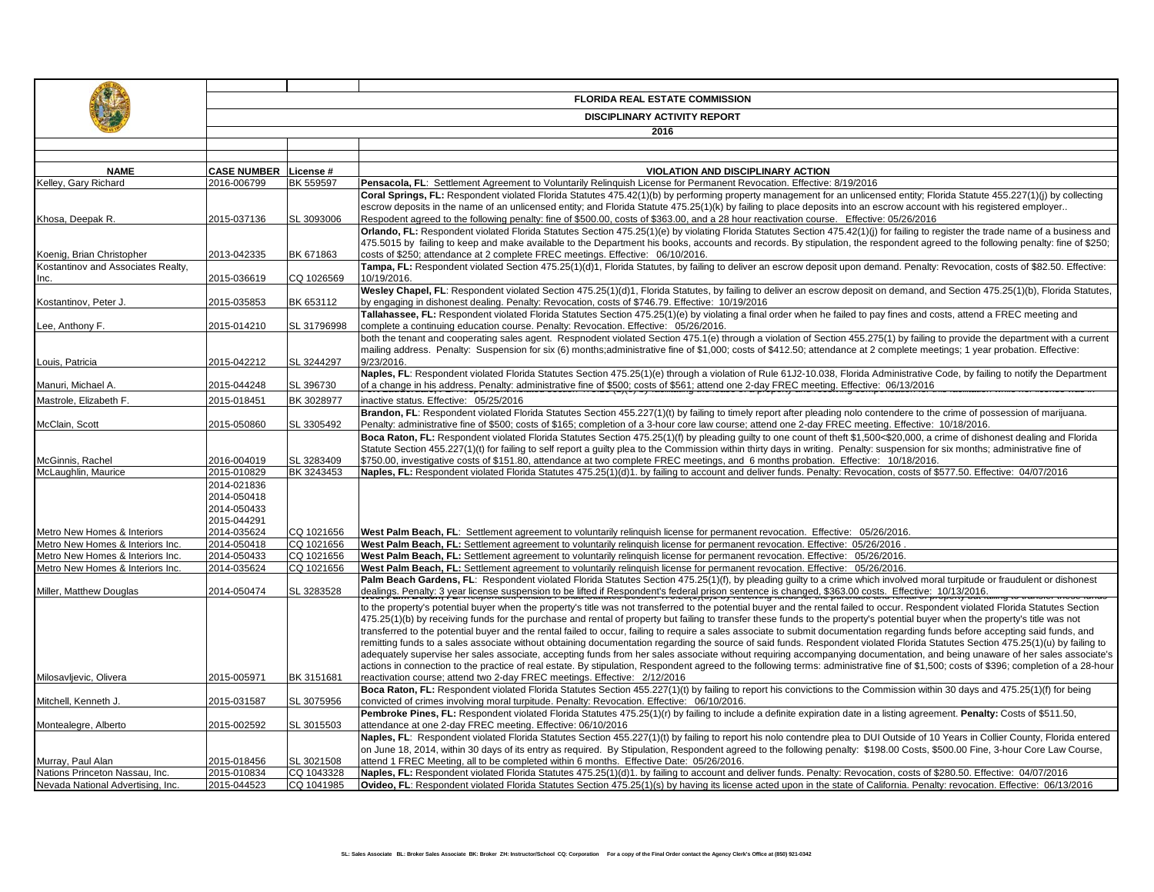|                                            | <b>FLORIDA REAL ESTATE COMMISSION</b><br><b>DISCIPLINARY ACTIVITY REPORT</b> |             |                                                                                                                                                                                                                                                                                                                                                                        |  |  |
|--------------------------------------------|------------------------------------------------------------------------------|-------------|------------------------------------------------------------------------------------------------------------------------------------------------------------------------------------------------------------------------------------------------------------------------------------------------------------------------------------------------------------------------|--|--|
|                                            |                                                                              |             | 2016                                                                                                                                                                                                                                                                                                                                                                   |  |  |
|                                            |                                                                              |             |                                                                                                                                                                                                                                                                                                                                                                        |  |  |
|                                            |                                                                              |             |                                                                                                                                                                                                                                                                                                                                                                        |  |  |
| <b>NAME</b>                                | <b>CASE NUMBER</b>                                                           | License #   | VIOLATION AND DISCIPLINARY ACTION                                                                                                                                                                                                                                                                                                                                      |  |  |
| Kelley, Gary Richard                       | 2016-006799                                                                  | BK 559597   | Pensacola, FL: Settlement Agreement to Voluntarily Relinguish License for Permanent Revocation. Effective: 8/19/2016                                                                                                                                                                                                                                                   |  |  |
|                                            |                                                                              |             | Coral Springs, FL: Respondent violated Florida Statutes 475.42(1)(b) by performing property management for an unlicensed entity; Florida Statute 455.227(1)(j) by collecting<br>escrow deposits in the name of an unlicensed entity; and Florida Statute 475.25(1)(k) by failing to place deposits into an escrow account with his registered employer                 |  |  |
| Khosa, Deepak R.                           | 2015-037136                                                                  | SL 3093006  | Respodent agreed to the following penalty: fine of \$500.00, costs of \$363.00, and a 28 hour reactivation course. Effective: 05/26/2016                                                                                                                                                                                                                               |  |  |
|                                            |                                                                              |             | Orlando, FL: Respondent violated Florida Statutes Section 475.25(1)(e) by violating Florida Statutes Section 475.42(1)(i) for failing to register the trade name of a business and                                                                                                                                                                                     |  |  |
|                                            |                                                                              |             | 475.5015 by failing to keep and make available to the Department his books, accounts and records. By stipulation, the respondent agreed to the following penalty: fine of \$250;                                                                                                                                                                                       |  |  |
| Koenig, Brian Christopher                  | 2013-042335                                                                  | BK 671863   | costs of \$250; attendance at 2 complete FREC meetings. Effective: 06/10/2016.                                                                                                                                                                                                                                                                                         |  |  |
| Kostantinov and Associates Realty,<br>lnc. | 2015-036619                                                                  | CQ 1026569  | Tampa, FL: Respondent violated Section 475.25(1)(d)1, Florida Statutes, by failing to deliver an escrow deposit upon demand. Penalty: Revocation, costs of \$82.50. Effective:<br>10/19/2016.                                                                                                                                                                          |  |  |
|                                            |                                                                              |             | Wesley Chapel, FL: Respondent violated Section 475.25(1)(d)1, Florida Statutes, by failing to deliver an escrow deposit on demand, and Section 475.25(1)(b), Florida Statutes,                                                                                                                                                                                         |  |  |
| Kostantinov, Peter J.                      | 2015-035853                                                                  | BK 653112   | by engaging in dishonest dealing. Penalty: Revocation, costs of \$746.79. Effective: 10/19/2016                                                                                                                                                                                                                                                                        |  |  |
|                                            |                                                                              |             | Tallahassee, FL: Respondent violated Florida Statutes Section 475.25(1)(e) by violating a final order when he failed to pay fines and costs, attend a FREC meeting and                                                                                                                                                                                                 |  |  |
| Lee, Anthony F.                            | 2015-014210                                                                  | SL 31796998 | complete a continuing education course. Penalty: Revocation. Effective: 05/26/2016.                                                                                                                                                                                                                                                                                    |  |  |
|                                            |                                                                              |             | both the tenant and cooperating sales agent. Respnodent violated Section 475.1(e) through a violation of Section 455.275(1) by failing to provide the department with a current<br>mailing address. Penalty: Suspension for six (6) months;administrative fine of \$1,000; costs of \$412.50; attendance at 2 complete meetings; 1 year probation. Effective:          |  |  |
| Louis, Patricia                            | 2015-042212                                                                  | SL 3244297  | 9/23/2016.                                                                                                                                                                                                                                                                                                                                                             |  |  |
|                                            |                                                                              |             | Naples, FL: Respondent violated Florida Statutes Section 475.25(1)(e) through a violation of Rule 61J2-10.038, Florida Administrative Code, by failing to notify the Department                                                                                                                                                                                        |  |  |
| Manuri. Michael A.                         | 2015-044248                                                                  | SL 396730   | of a change in his address. Penalty: administrative fine of \$500; costs of \$561; attend one 2-day FREC meeting. Effective: 06/13/2016                                                                                                                                                                                                                                |  |  |
| Mastrole, Elizabeth F.                     | 2015-018451                                                                  | BK 3028977  | inactive status. Effective: 05/25/2016                                                                                                                                                                                                                                                                                                                                 |  |  |
|                                            |                                                                              |             | Brandon, FL: Respondent violated Florida Statutes Section 455.227(1)(t) by failing to timely report after pleading nolo contendere to the crime of possession of marijuana.                                                                                                                                                                                            |  |  |
| McClain, Scott                             | 2015-050860                                                                  | SL 3305492  | Penalty: administrative fine of \$500; costs of \$165; completion of a 3-hour core law course; attend one 2-day FREC meeting. Effective: 10/18/2016.<br>Boca Raton, FL: Respondent violated Florida Statutes Section 475.25(1)(f) by pleading guilty to one count of theft \$1,500<\$20,000, a crime of dishonest dealing and Florida                                  |  |  |
|                                            |                                                                              |             | Statute Section 455.227(1)(t) for failing to self report a guilty plea to the Commission within thirty days in writing. Penalty: suspension for six months; administrative fine of                                                                                                                                                                                     |  |  |
| McGinnis, Rachel                           | 2016-004019                                                                  | SL 3283409  | \$750.00, investigative costs of \$151.80, attendance at two complete FREC meetings, and 6 months probation. Effective: 10/18/2016.                                                                                                                                                                                                                                    |  |  |
| McLaughlin, Maurice                        | 2015-010829                                                                  | BK 3243453  | Naples, FL: Respondent violated Florida Statutes 475.25(1)(d)1. by failing to account and deliver funds. Penalty: Revocation, costs of \$577.50. Effective: 04/07/2016                                                                                                                                                                                                 |  |  |
|                                            | 2014-021836                                                                  |             |                                                                                                                                                                                                                                                                                                                                                                        |  |  |
|                                            | 2014-050418<br>2014-050433                                                   |             |                                                                                                                                                                                                                                                                                                                                                                        |  |  |
|                                            | 2015-044291                                                                  |             |                                                                                                                                                                                                                                                                                                                                                                        |  |  |
| Metro New Homes & Interiors                | 2014-035624                                                                  | CQ 1021656  | West Palm Beach, FL: Settlement agreement to voluntarily relinguish license for permanent revocation. Effective: 05/26/2016.                                                                                                                                                                                                                                           |  |  |
| Metro New Homes & Interiors Inc.           | 2014-050418                                                                  | CQ 1021656  | West Palm Beach, FL: Settlement agreement to voluntarily relinguish license for permanent revocation. Effective: 05/26/2016                                                                                                                                                                                                                                            |  |  |
| Metro New Homes & Interiors Inc.           | 2014-050433                                                                  | CQ 1021656  | West Palm Beach, FL: Settlement agreement to voluntarily relinquish license for permanent revocation. Effective: 05/26/2016.                                                                                                                                                                                                                                           |  |  |
| Metro New Homes & Interiors Inc.           | 2014-035624                                                                  | CQ 1021656  | West Palm Beach, FL: Settlement agreement to voluntarily relinguish license for permanent revocation. Effective: 05/26/2016.<br>Palm Beach Gardens, FL: Respondent violated Florida Statutes Section 475.25(1)(f), by pleading guilty to a crime which involved moral turpitude or fraudulent or dishonest                                                             |  |  |
| Miller, Matthew Douglas                    | 2014-050474                                                                  | SL 3283528  | dealings. Penalty: 3 year license suspension to be lifted if Respondent's federal prison sentence is changed, \$363.00 costs. Effective: 10/13/2016.                                                                                                                                                                                                                   |  |  |
|                                            |                                                                              |             | to the property's potential buyer when the property's title was not transferred to the potential buyer and the rental failed to occur. Respondent violated Florida Statutes Section                                                                                                                                                                                    |  |  |
|                                            |                                                                              |             | 475.25(1)(b) by receiving funds for the purchase and rental of property but failing to transfer these funds to the property's potential buyer when the property's title was not                                                                                                                                                                                        |  |  |
|                                            |                                                                              |             | transferred to the potential buyer and the rental failed to occur, failing to require a sales associate to submit documentation regarding funds before accepting said funds, and                                                                                                                                                                                       |  |  |
|                                            |                                                                              |             | remitting funds to a sales associate without obtaining documentation regarding the source of said funds. Respondent violated Florida Statutes Section 475.25(1)(u) by failing to                                                                                                                                                                                       |  |  |
|                                            |                                                                              |             | adequately supervise her sales associate, accepting funds from her sales associate without requiring accompanying documentation, and being unaware of her sales associate's<br>actions in connection to the practice of real estate. By stipulation, Respondent agreed to the following terms: administrative fine of \$1,500; costs of \$396; completion of a 28-hour |  |  |
| Milosavljevic, Olivera                     | 2015-005971                                                                  | BK 3151681  | reactivation course; attend two 2-day FREC meetings. Effective: 2/12/2016                                                                                                                                                                                                                                                                                              |  |  |
|                                            |                                                                              |             | Boca Raton, FL: Respondent violated Florida Statutes Section 455.227(1)(t) by failing to report his convictions to the Commission within 30 days and 475.25(1)(f) for being                                                                                                                                                                                            |  |  |
| Mitchell, Kenneth J.                       | 2015-031587                                                                  | SL 3075956  | convicted of crimes involving moral turpitude. Penalty: Revocation. Effective: 06/10/2016.                                                                                                                                                                                                                                                                             |  |  |
|                                            |                                                                              |             | Pembroke Pines, FL: Respondent violated Florida Statutes 475.25(1)(r) by failing to include a definite expiration date in a listing agreement. Penalty: Costs of \$511.50,                                                                                                                                                                                             |  |  |
| Montealegre, Alberto                       | 2015-002592                                                                  | SL 3015503  | attendance at one 2-day FREC meeting. Effective: 06/10/2016<br>Naples, FL: Respondent violated Florida Statutes Section 455.227(1)(t) by failing to report his nolo contendre plea to DUI Outside of 10 Years in Collier County, Florida entered                                                                                                                       |  |  |
|                                            |                                                                              |             | on June 18, 2014, within 30 days of its entry as required. By Stipulation, Respondent agreed to the following penalty: \$198.00 Costs, \$500.00 Fine, 3-hour Core Law Course,                                                                                                                                                                                          |  |  |
| Murray, Paul Alan                          | 2015-018456                                                                  | SL 3021508  | attend 1 FREC Meeting, all to be completed within 6 months. Effective Date: 05/26/2016.                                                                                                                                                                                                                                                                                |  |  |
| Nations Princeton Nassau, Inc.             | 2015-010834                                                                  | CQ 1043328  | Naples, FL: Respondent violated Florida Statutes 475.25(1)(d)1. by failing to account and deliver funds. Penalty: Revocation, costs of \$280.50. Effective: 04/07/2016                                                                                                                                                                                                 |  |  |
| Nevada National Advertising, Inc.          | 2015-044523                                                                  | CQ 1041985  | Ovideo, FL: Respondent violated Florida Statutes Section 475.25(1)(s) by having its license acted upon in the state of California. Penalty: revocation. Effective: 06/13/2016                                                                                                                                                                                          |  |  |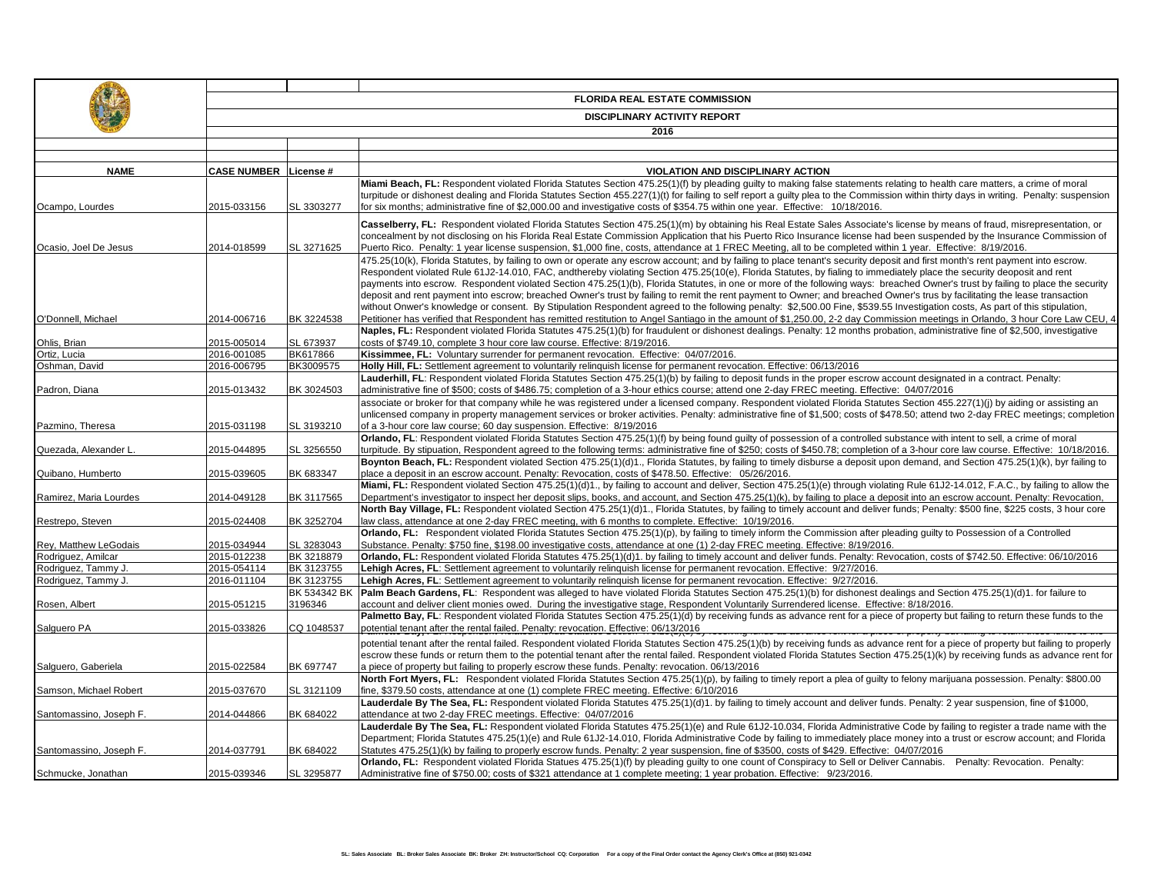|                         | <b>FLORIDA REAL ESTATE COMMISSION</b> |              |                                                                                                                                                                                                                                                                                                                                                                                                                                                                                                                                                                                                                                                                                                                                                                                                                                                                                                            |  |  |
|-------------------------|---------------------------------------|--------------|------------------------------------------------------------------------------------------------------------------------------------------------------------------------------------------------------------------------------------------------------------------------------------------------------------------------------------------------------------------------------------------------------------------------------------------------------------------------------------------------------------------------------------------------------------------------------------------------------------------------------------------------------------------------------------------------------------------------------------------------------------------------------------------------------------------------------------------------------------------------------------------------------------|--|--|
|                         | <b>DISCIPLINARY ACTIVITY REPORT</b>   |              |                                                                                                                                                                                                                                                                                                                                                                                                                                                                                                                                                                                                                                                                                                                                                                                                                                                                                                            |  |  |
|                         |                                       |              | 2016                                                                                                                                                                                                                                                                                                                                                                                                                                                                                                                                                                                                                                                                                                                                                                                                                                                                                                       |  |  |
|                         |                                       |              |                                                                                                                                                                                                                                                                                                                                                                                                                                                                                                                                                                                                                                                                                                                                                                                                                                                                                                            |  |  |
|                         |                                       |              |                                                                                                                                                                                                                                                                                                                                                                                                                                                                                                                                                                                                                                                                                                                                                                                                                                                                                                            |  |  |
| <b>NAME</b>             | <b>CASE NUMBER License #</b>          |              | VIOLATION AND DISCIPLINARY ACTION                                                                                                                                                                                                                                                                                                                                                                                                                                                                                                                                                                                                                                                                                                                                                                                                                                                                          |  |  |
|                         |                                       |              | Miami Beach, FL: Respondent violated Florida Statutes Section 475.25(1)(f) by pleading guilty to making false statements relating to health care matters, a crime of moral                                                                                                                                                                                                                                                                                                                                                                                                                                                                                                                                                                                                                                                                                                                                 |  |  |
|                         |                                       |              | turpitude or dishonest dealing and Florida Statutes Section 455.227(1)(t) for failing to self report a quilty plea to the Commission within thirty days in writing. Penalty: suspension                                                                                                                                                                                                                                                                                                                                                                                                                                                                                                                                                                                                                                                                                                                    |  |  |
| Ocampo, Lourdes         | 2015-033156                           | SL 3303277   | for six months; administrative fine of \$2,000.00 and investigative costs of \$354.75 within one year. Effective: 10/18/2016.                                                                                                                                                                                                                                                                                                                                                                                                                                                                                                                                                                                                                                                                                                                                                                              |  |  |
| Ocasio. Joel De Jesus   | 2014-018599                           | SL 3271625   | Casselberry, FL: Respondent violated Florida Statutes Section 475.25(1)(m) by obtaining his Real Estate Sales Associate's license by means of fraud, misrepresentation, or<br>concealment by not disclosing on his Florida Real Estate Commission Application that his Puerto Rico Insurance license had been suspended by the Insurance Commission of<br>Puerto Rico. Penalty: 1 year license suspension, \$1,000 fine, costs, attendance at 1 FREC Meeting, all to be completed within 1 year. Effective: 8/19/2016.                                                                                                                                                                                                                                                                                                                                                                                     |  |  |
|                         |                                       |              | 475.25(10(k), Florida Statutes, by failing to own or operate any escrow account; and by failing to place tenant's security deposit and first month's rent payment into escrow.<br>Respondent violated Rule 61J2-14.010, FAC, andthereby violating Section 475.25(10(e), Florida Statutes, by fialing to immediately place the security deoposit and rent<br>payments into escrow. Respondent violated Section 475.25(1)(b), Florida Statutes, in one or more of the following ways: breached Owner's trust by failing to place the security<br>deposit and rent payment into escrow; breached Owner's trust by failing to remit the rent payment to Owner; and breached Owner's trus by facilitating the lease transaction<br>without Onwer's knowledge or consent. By Stipulation Respondent agreed to the following penalty: \$2,500.00 Fine, \$539.55 Investigation costs, As part of this stipulation, |  |  |
| O'Donnell, Michael      | 2014-006716                           | BK 3224538   | Petitioner has verified that Respondent has remitted restitution to Angel Santiago in the amount of \$1,250.00, 2-2 day Commission meetings in Orlando, 3 hour Core Law CEU, 4                                                                                                                                                                                                                                                                                                                                                                                                                                                                                                                                                                                                                                                                                                                             |  |  |
|                         |                                       |              | Naples, FL: Respondent violated Florida Statutes 475.25(1)(b) for fraudulent or dishonest dealings. Penalty: 12 months probation, administrative fine of \$2,500, investigative                                                                                                                                                                                                                                                                                                                                                                                                                                                                                                                                                                                                                                                                                                                            |  |  |
| Ohlis, Brian            | 2015-005014                           | SL 673937    | costs of \$749.10, complete 3 hour core law course. Effective: 8/19/2016.                                                                                                                                                                                                                                                                                                                                                                                                                                                                                                                                                                                                                                                                                                                                                                                                                                  |  |  |
| Ortiz, Lucia            | 2016-001085                           | BK617866     | Kissimmee, FL: Voluntary surrender for permanent revocation. Effective: 04/07/2016.                                                                                                                                                                                                                                                                                                                                                                                                                                                                                                                                                                                                                                                                                                                                                                                                                        |  |  |
| Oshman, David           | 2016-006795                           | BK3009575    | Holly Hill, FL: Settlement agreement to voluntarily relinguish license for permanent revocation. Effective: 06/13/2016                                                                                                                                                                                                                                                                                                                                                                                                                                                                                                                                                                                                                                                                                                                                                                                     |  |  |
| Padron, Diana           | 2015-013432                           | BK 3024503   | Lauderhill, FL: Respondent violated Florida Statutes Section 475.25(1)(b) by failing to deposit funds in the proper escrow account designated in a contract. Penalty:<br>administrative fine of \$500; costs of \$486.75; completion of a 3-hour ethics course; attend one 2-day FREC meeting. Effective: 04/07/2016                                                                                                                                                                                                                                                                                                                                                                                                                                                                                                                                                                                       |  |  |
| Pazmino, Theresa        | 2015-031198                           | SL 3193210   | associate or broker for that company while he was registered under a licensed company. Respondent violated Florida Statutes Section 455.227(1)(i) by aiding or assisting an<br>unlicensed company in property management services or broker activities. Penalty: administrative fine of \$1,500; costs of \$478.50; attend two 2-day FREC meetings; completion<br>of a 3-hour core law course; 60 day suspension. Effective: 8/19/2016                                                                                                                                                                                                                                                                                                                                                                                                                                                                     |  |  |
| Quezada, Alexander L    | 2015-044895                           | SL 3256550   | Orlando, FL: Respondent violated Florida Statutes Section 475.25(1)(f) by being found guilty of possession of a controlled substance with intent to sell, a crime of moral<br>turpitude. By stipuation, Respondent agreed to the following terms: administrative fine of \$250; costs of \$450.78; completion of a 3-hour core law course. Effective: 10/18/2016.                                                                                                                                                                                                                                                                                                                                                                                                                                                                                                                                          |  |  |
| Quibano, Humberto       | 2015-039605                           | BK 683347    | Boynton Beach, FL: Respondent violated Section 475.25(1)(d)1., Florida Statutes, by failing to timely disburse a deposit upon demand, and Section 475.25(1)(k), byr failing to<br>place a deposit in an escrow account. Penalty: Revocation, costs of \$478.50. Effective: 05/26/2016.                                                                                                                                                                                                                                                                                                                                                                                                                                                                                                                                                                                                                     |  |  |
|                         |                                       |              | Miami, FL: Respondent violated Section 475.25(1)(d)1., by failing to account and deliver, Section 475.25(1)(e) through violating Rule 61J2-14.012, F.A.C., by failing to allow the                                                                                                                                                                                                                                                                                                                                                                                                                                                                                                                                                                                                                                                                                                                         |  |  |
| Ramirez. Maria Lourdes  | 2014-049128                           | BK 3117565   | Department's investigator to inspect her deposit slips, books, and account, and Section 475.25(1)(k), by failing to place a deposit into an escrow account. Penalty: Revocation,                                                                                                                                                                                                                                                                                                                                                                                                                                                                                                                                                                                                                                                                                                                           |  |  |
| Restrepo, Steven        | 2015-024408                           | BK 3252704   | North Bay Village, FL: Respondent violated Section 475.25(1)(d)1., Florida Statutes, by failing to timely account and deliver funds; Penalty: \$500 fine, \$225 costs, 3 hour core<br>law class, attendance at one 2-day FREC meeting, with 6 months to complete. Effective: 10/19/2016.                                                                                                                                                                                                                                                                                                                                                                                                                                                                                                                                                                                                                   |  |  |
|                         |                                       |              | Orlando, FL: Respondent violated Florida Statutes Section 475.25(1)(p), by failing to timely inform the Commission after pleading guilty to Possession of a Controlled                                                                                                                                                                                                                                                                                                                                                                                                                                                                                                                                                                                                                                                                                                                                     |  |  |
| Rey, Matthew LeGodais   | 2015-034944                           | SL 3283043   | Substance. Penalty: \$750 fine, \$198.00 investigative costs, attendance at one (1) 2-day FREC meeting. Effective: 8/19/2016.                                                                                                                                                                                                                                                                                                                                                                                                                                                                                                                                                                                                                                                                                                                                                                              |  |  |
| Rodriguez, Amilcar      | 2015-012238                           | BK 3218879   | Orlando, FL: Respondent violated Florida Statutes 475.25(1)(d)1. by failing to timely account and deliver funds. Penalty: Revocation, costs of \$742.50. Effective: 06/10/2016                                                                                                                                                                                                                                                                                                                                                                                                                                                                                                                                                                                                                                                                                                                             |  |  |
| Rodriguez, Tammy J.     | 2015-054114                           | BK 3123755   | Lehigh Acres, FL: Settlement agreement to voluntarily relinquish license for permanent revocation. Effective: 9/27/2016.                                                                                                                                                                                                                                                                                                                                                                                                                                                                                                                                                                                                                                                                                                                                                                                   |  |  |
| Rodriguez, Tammy J.     | 2016-011104                           | BK 3123755   | Lehigh Acres, FL: Settlement agreement to voluntarily relinquish license for permanent revocation. Effective: 9/27/2016.                                                                                                                                                                                                                                                                                                                                                                                                                                                                                                                                                                                                                                                                                                                                                                                   |  |  |
|                         |                                       | BK 534342 BK | Palm Beach Gardens, FL: Respondent was alleged to have violated Florida Statutes Section 475.25(1)(b) for dishonest dealings and Section 475.25(1)(d)1. for failure to                                                                                                                                                                                                                                                                                                                                                                                                                                                                                                                                                                                                                                                                                                                                     |  |  |
| Rosen, Albert           | 2015-051215                           | 3196346      | account and deliver client monies owed. During the investigative stage, Respondent Voluntarily Surrendered license. Effective: 8/18/2016.                                                                                                                                                                                                                                                                                                                                                                                                                                                                                                                                                                                                                                                                                                                                                                  |  |  |
|                         |                                       |              | Palmetto Bay, FL: Respondent violated Florida Statutes Section 475.25(1)(d) by receiving funds as advance rent for a piece of property but failing to return these funds to the                                                                                                                                                                                                                                                                                                                                                                                                                                                                                                                                                                                                                                                                                                                            |  |  |
| Salguero PA             | 2015-033826                           | CQ 1048537   | potential tenant after the rental failed. Penalty: revocation. Effective: 06/13/2016                                                                                                                                                                                                                                                                                                                                                                                                                                                                                                                                                                                                                                                                                                                                                                                                                       |  |  |
|                         |                                       |              | potential tenant after the rental failed. Respondent violated Florida Statutes Section 475.25(1)(b) by receiving funds as advance rent for a piece of property but failing to properly                                                                                                                                                                                                                                                                                                                                                                                                                                                                                                                                                                                                                                                                                                                     |  |  |
|                         |                                       |              | escrow these funds or return them to the potential tenant after the rental failed. Respondent violated Florida Statutes Section 475.25(1)(k) by receiving funds as advance rent for                                                                                                                                                                                                                                                                                                                                                                                                                                                                                                                                                                                                                                                                                                                        |  |  |
| Salguero, Gaberiela     | 2015-022584                           | BK 697747    | a piece of property but failing to properly escrow these funds. Penalty: revocation. 06/13/2016                                                                                                                                                                                                                                                                                                                                                                                                                                                                                                                                                                                                                                                                                                                                                                                                            |  |  |
| Samson, Michael Robert  | 2015-037670                           | SL 3121109   | North Fort Myers, FL: Respondent violated Florida Statutes Section 475.25(1)(p), by failing to timely report a plea of guilty to felony marijuana possession. Penalty: \$800.00<br>fine, \$379.50 costs, attendance at one (1) complete FREC meeting. Effective: 6/10/2016                                                                                                                                                                                                                                                                                                                                                                                                                                                                                                                                                                                                                                 |  |  |
|                         |                                       |              | Lauderdale By The Sea, FL: Respondent violated Florida Statutes 475.25(1)(d)1. by failing to timely account and deliver funds. Penalty: 2 year suspension, fine of \$1000,                                                                                                                                                                                                                                                                                                                                                                                                                                                                                                                                                                                                                                                                                                                                 |  |  |
| Santomassino, Joseph F. | 2014-044866                           | BK 684022    | attendance at two 2-day FREC meetings. Effective: 04/07/2016                                                                                                                                                                                                                                                                                                                                                                                                                                                                                                                                                                                                                                                                                                                                                                                                                                               |  |  |
|                         |                                       |              | Lauderdale By The Sea, FL: Respondent violated Florida Statutes 475.25(1)(e) and Rule 61J2-10.034, Florida Administrative Code by failing to register a trade name with the                                                                                                                                                                                                                                                                                                                                                                                                                                                                                                                                                                                                                                                                                                                                |  |  |
|                         |                                       |              | Department; Florida Statutes 475.25(1)(e) and Rule 61J2-14.010, Florida Administrative Code by failing to immediately place money into a trust or escrow account; and Florida                                                                                                                                                                                                                                                                                                                                                                                                                                                                                                                                                                                                                                                                                                                              |  |  |
| Santomassino, Joseph F. | 2014-037791                           | BK 684022    | Statutes 475.25(1)(k) by failing to properly escrow funds. Penalty: 2 year suspension, fine of \$3500, costs of \$429. Effective: 04/07/2016                                                                                                                                                                                                                                                                                                                                                                                                                                                                                                                                                                                                                                                                                                                                                               |  |  |
|                         |                                       |              | Orlando, FL: Respondent violated Florida Statues 475.25(1)(f) by pleading guilty to one count of Conspiracy to Sell or Deliver Cannabis. Penalty: Revocation. Penalty:                                                                                                                                                                                                                                                                                                                                                                                                                                                                                                                                                                                                                                                                                                                                     |  |  |
| Schmucke, Jonathan      | 2015-039346                           | SL 3295877   | Administrative fine of \$750.00; costs of \$321 attendance at 1 complete meeting; 1 year probation. Effective: 9/23/2016.                                                                                                                                                                                                                                                                                                                                                                                                                                                                                                                                                                                                                                                                                                                                                                                  |  |  |